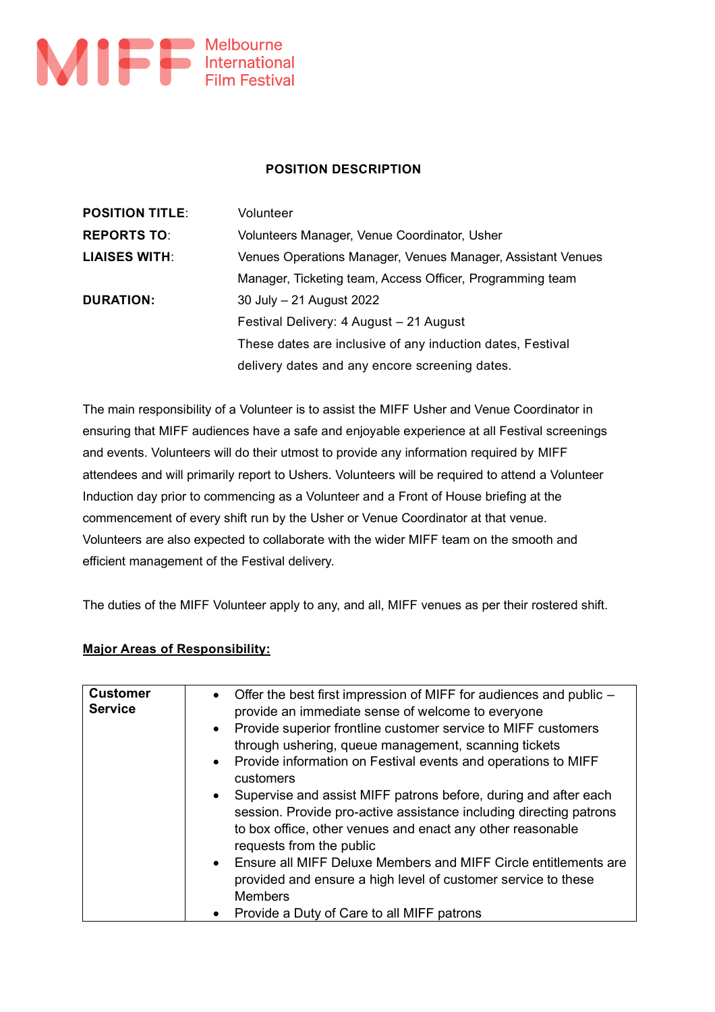

## **POSITION DESCRIPTION**

| <b>POSITION TITLE:</b> | Volunteer                                                   |  |  |  |
|------------------------|-------------------------------------------------------------|--|--|--|
| <b>REPORTS TO:</b>     | Volunteers Manager, Venue Coordinator, Usher                |  |  |  |
| <b>LIAISES WITH:</b>   | Venues Operations Manager, Venues Manager, Assistant Venues |  |  |  |
|                        | Manager, Ticketing team, Access Officer, Programming team   |  |  |  |
| <b>DURATION:</b>       | 30 July - 21 August 2022                                    |  |  |  |
|                        | Festival Delivery: 4 August - 21 August                     |  |  |  |
|                        | These dates are inclusive of any induction dates, Festival  |  |  |  |
|                        | delivery dates and any encore screening dates.              |  |  |  |

The main responsibility of a Volunteer is to assist the MIFF Usher and Venue Coordinator in ensuring that MIFF audiences have a safe and enjoyable experience at all Festival screenings and events. Volunteers will do their utmost to provide any information required by MIFF attendees and will primarily report to Ushers. Volunteers will be required to attend a Volunteer Induction day prior to commencing as a Volunteer and a Front of House briefing at the commencement of every shift run by the Usher or Venue Coordinator at that venue. Volunteers are also expected to collaborate with the wider MIFF team on the smooth and efficient management of the Festival delivery.

The duties of the MIFF Volunteer apply to any, and all, MIFF venues as per their rostered shift.

## **Major Areas of Responsibility:**

| <b>Customer</b><br><b>Service</b> | Offer the best first impression of MIFF for audiences and public -<br>provide an immediate sense of welcome to everyone<br>Provide superior frontline customer service to MIFF customers<br>$\bullet$<br>through ushering, queue management, scanning tickets<br>Provide information on Festival events and operations to MIFF<br>$\bullet$<br>customers<br>Supervise and assist MIFF patrons before, during and after each<br>$\bullet$<br>session. Provide pro-active assistance including directing patrons<br>to box office, other venues and enact any other reasonable<br>requests from the public<br>Ensure all MIFF Deluxe Members and MIFF Circle entitlements are<br>$\bullet$<br>provided and ensure a high level of customer service to these |
|-----------------------------------|-----------------------------------------------------------------------------------------------------------------------------------------------------------------------------------------------------------------------------------------------------------------------------------------------------------------------------------------------------------------------------------------------------------------------------------------------------------------------------------------------------------------------------------------------------------------------------------------------------------------------------------------------------------------------------------------------------------------------------------------------------------|
|                                   | <b>Members</b><br>Provide a Duty of Care to all MIFF patrons                                                                                                                                                                                                                                                                                                                                                                                                                                                                                                                                                                                                                                                                                              |
|                                   |                                                                                                                                                                                                                                                                                                                                                                                                                                                                                                                                                                                                                                                                                                                                                           |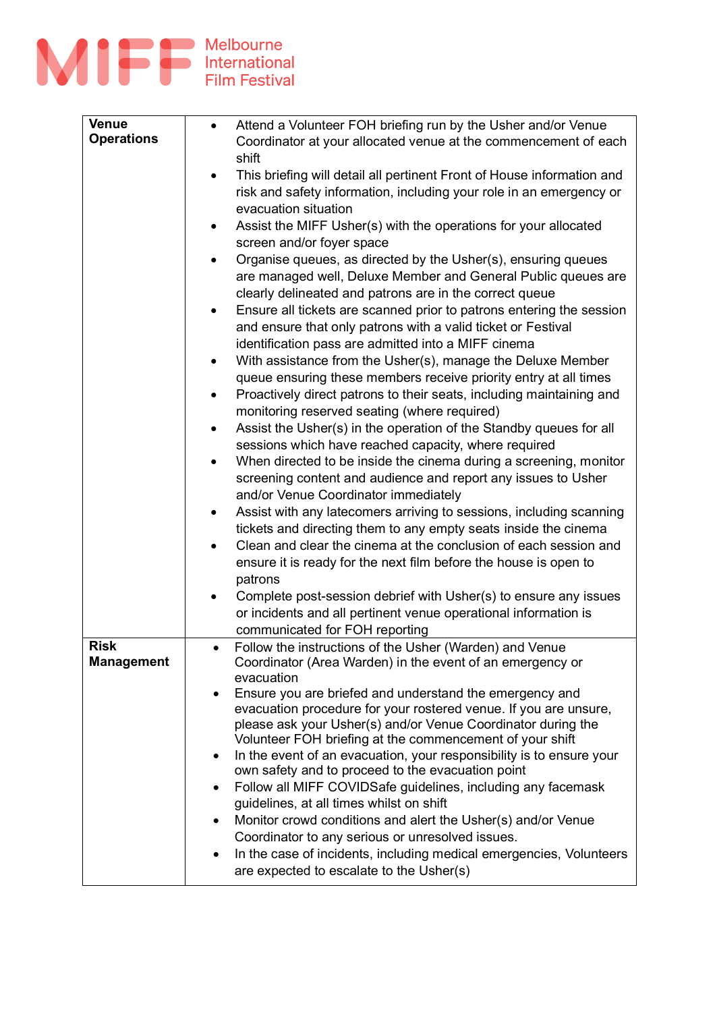

| <b>Venue</b>      | Attend a Volunteer FOH briefing run by the Usher and/or Venue<br>$\bullet$                                               |  |  |  |  |  |  |
|-------------------|--------------------------------------------------------------------------------------------------------------------------|--|--|--|--|--|--|
| <b>Operations</b> | Coordinator at your allocated venue at the commencement of each                                                          |  |  |  |  |  |  |
|                   | shift                                                                                                                    |  |  |  |  |  |  |
|                   | This briefing will detail all pertinent Front of House information and<br>$\bullet$                                      |  |  |  |  |  |  |
|                   | risk and safety information, including your role in an emergency or                                                      |  |  |  |  |  |  |
|                   | evacuation situation                                                                                                     |  |  |  |  |  |  |
|                   | Assist the MIFF Usher(s) with the operations for your allocated<br>٠                                                     |  |  |  |  |  |  |
|                   | screen and/or foyer space                                                                                                |  |  |  |  |  |  |
|                   | Organise queues, as directed by the Usher(s), ensuring queues                                                            |  |  |  |  |  |  |
|                   | are managed well, Deluxe Member and General Public queues are                                                            |  |  |  |  |  |  |
|                   | clearly delineated and patrons are in the correct queue                                                                  |  |  |  |  |  |  |
|                   | Ensure all tickets are scanned prior to patrons entering the session<br>$\bullet$                                        |  |  |  |  |  |  |
|                   |                                                                                                                          |  |  |  |  |  |  |
|                   | and ensure that only patrons with a valid ticket or Festival                                                             |  |  |  |  |  |  |
|                   | identification pass are admitted into a MIFF cinema                                                                      |  |  |  |  |  |  |
|                   | With assistance from the Usher(s), manage the Deluxe Member<br>$\bullet$                                                 |  |  |  |  |  |  |
|                   | queue ensuring these members receive priority entry at all times                                                         |  |  |  |  |  |  |
|                   | Proactively direct patrons to their seats, including maintaining and<br>$\bullet$                                        |  |  |  |  |  |  |
|                   | monitoring reserved seating (where required)                                                                             |  |  |  |  |  |  |
|                   | Assist the Usher(s) in the operation of the Standby queues for all<br>$\bullet$                                          |  |  |  |  |  |  |
|                   | sessions which have reached capacity, where required                                                                     |  |  |  |  |  |  |
|                   | When directed to be inside the cinema during a screening, monitor<br>$\bullet$                                           |  |  |  |  |  |  |
|                   | screening content and audience and report any issues to Usher                                                            |  |  |  |  |  |  |
|                   | and/or Venue Coordinator immediately                                                                                     |  |  |  |  |  |  |
|                   | Assist with any latecomers arriving to sessions, including scanning<br>٠                                                 |  |  |  |  |  |  |
|                   | tickets and directing them to any empty seats inside the cinema                                                          |  |  |  |  |  |  |
|                   | Clean and clear the cinema at the conclusion of each session and                                                         |  |  |  |  |  |  |
|                   | ensure it is ready for the next film before the house is open to                                                         |  |  |  |  |  |  |
|                   | patrons                                                                                                                  |  |  |  |  |  |  |
|                   | Complete post-session debrief with Usher(s) to ensure any issues<br>$\bullet$                                            |  |  |  |  |  |  |
|                   | or incidents and all pertinent venue operational information is                                                          |  |  |  |  |  |  |
|                   | communicated for FOH reporting                                                                                           |  |  |  |  |  |  |
| <b>Risk</b>       | Follow the instructions of the Usher (Warden) and Venue                                                                  |  |  |  |  |  |  |
| <b>Management</b> | Coordinator (Area Warden) in the event of an emergency or                                                                |  |  |  |  |  |  |
|                   | evacuation                                                                                                               |  |  |  |  |  |  |
|                   | Ensure you are briefed and understand the emergency and<br>٠                                                             |  |  |  |  |  |  |
|                   | evacuation procedure for your rostered venue. If you are unsure,                                                         |  |  |  |  |  |  |
|                   | please ask your Usher(s) and/or Venue Coordinator during the<br>Volunteer FOH briefing at the commencement of your shift |  |  |  |  |  |  |
|                   | In the event of an evacuation, your responsibility is to ensure your<br>٠                                                |  |  |  |  |  |  |
|                   | own safety and to proceed to the evacuation point                                                                        |  |  |  |  |  |  |
|                   | Follow all MIFF COVIDSafe guidelines, including any facemask<br>٠                                                        |  |  |  |  |  |  |
|                   | guidelines, at all times whilst on shift                                                                                 |  |  |  |  |  |  |
|                   | Monitor crowd conditions and alert the Usher(s) and/or Venue                                                             |  |  |  |  |  |  |
|                   | Coordinator to any serious or unresolved issues.                                                                         |  |  |  |  |  |  |
|                   | In the case of incidents, including medical emergencies, Volunteers                                                      |  |  |  |  |  |  |
|                   | are expected to escalate to the Usher(s)                                                                                 |  |  |  |  |  |  |
|                   |                                                                                                                          |  |  |  |  |  |  |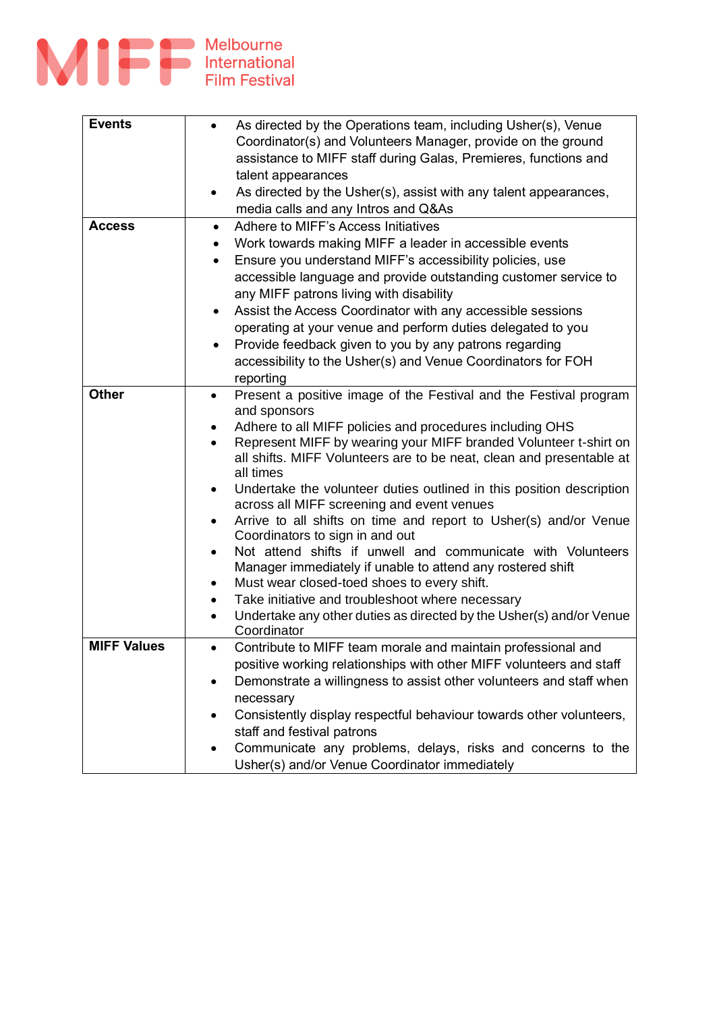

| <b>Events</b>      | As directed by the Operations team, including Usher(s), Venue<br>$\bullet$                      |  |  |  |  |
|--------------------|-------------------------------------------------------------------------------------------------|--|--|--|--|
|                    | Coordinator(s) and Volunteers Manager, provide on the ground                                    |  |  |  |  |
|                    | assistance to MIFF staff during Galas, Premieres, functions and                                 |  |  |  |  |
|                    | talent appearances                                                                              |  |  |  |  |
|                    | As directed by the Usher(s), assist with any talent appearances,<br>$\bullet$                   |  |  |  |  |
|                    | media calls and any Intros and Q&As                                                             |  |  |  |  |
| <b>Access</b>      | Adhere to MIFF's Access Initiatives<br>$\bullet$                                                |  |  |  |  |
|                    | Work towards making MIFF a leader in accessible events                                          |  |  |  |  |
|                    | $\bullet$                                                                                       |  |  |  |  |
|                    | Ensure you understand MIFF's accessibility policies, use<br>$\bullet$                           |  |  |  |  |
|                    | accessible language and provide outstanding customer service to                                 |  |  |  |  |
|                    | any MIFF patrons living with disability                                                         |  |  |  |  |
|                    | Assist the Access Coordinator with any accessible sessions<br>$\bullet$                         |  |  |  |  |
|                    | operating at your venue and perform duties delegated to you                                     |  |  |  |  |
|                    | Provide feedback given to you by any patrons regarding                                          |  |  |  |  |
|                    | accessibility to the Usher(s) and Venue Coordinators for FOH                                    |  |  |  |  |
|                    | reporting                                                                                       |  |  |  |  |
| <b>Other</b>       | Present a positive image of the Festival and the Festival program<br>$\bullet$                  |  |  |  |  |
|                    | and sponsors                                                                                    |  |  |  |  |
|                    | Adhere to all MIFF policies and procedures including OHS<br>$\bullet$                           |  |  |  |  |
|                    | Represent MIFF by wearing your MIFF branded Volunteer t-shirt on<br>$\bullet$                   |  |  |  |  |
|                    | all shifts. MIFF Volunteers are to be neat, clean and presentable at                            |  |  |  |  |
|                    | all times                                                                                       |  |  |  |  |
|                    | Undertake the volunteer duties outlined in this position description<br>٠                       |  |  |  |  |
|                    | across all MIFF screening and event venues                                                      |  |  |  |  |
|                    | Arrive to all shifts on time and report to Usher(s) and/or Venue<br>$\bullet$                   |  |  |  |  |
|                    | Coordinators to sign in and out                                                                 |  |  |  |  |
|                    | Not attend shifts if unwell and communicate with Volunteers                                     |  |  |  |  |
|                    | Manager immediately if unable to attend any rostered shift                                      |  |  |  |  |
|                    | Must wear closed-toed shoes to every shift.<br>٠                                                |  |  |  |  |
|                    | Take initiative and troubleshoot where necessary<br>$\bullet$                                   |  |  |  |  |
|                    | Undertake any other duties as directed by the Usher(s) and/or Venue<br>$\bullet$<br>Coordinator |  |  |  |  |
| <b>MIFF Values</b> | Contribute to MIFF team morale and maintain professional and                                    |  |  |  |  |
|                    | positive working relationships with other MIFF volunteers and staff                             |  |  |  |  |
|                    | Demonstrate a willingness to assist other volunteers and staff when<br>٠                        |  |  |  |  |
|                    | necessary                                                                                       |  |  |  |  |
|                    | Consistently display respectful behaviour towards other volunteers,                             |  |  |  |  |
|                    | staff and festival patrons                                                                      |  |  |  |  |
|                    | Communicate any problems, delays, risks and concerns to the                                     |  |  |  |  |
|                    | Usher(s) and/or Venue Coordinator immediately                                                   |  |  |  |  |
|                    |                                                                                                 |  |  |  |  |